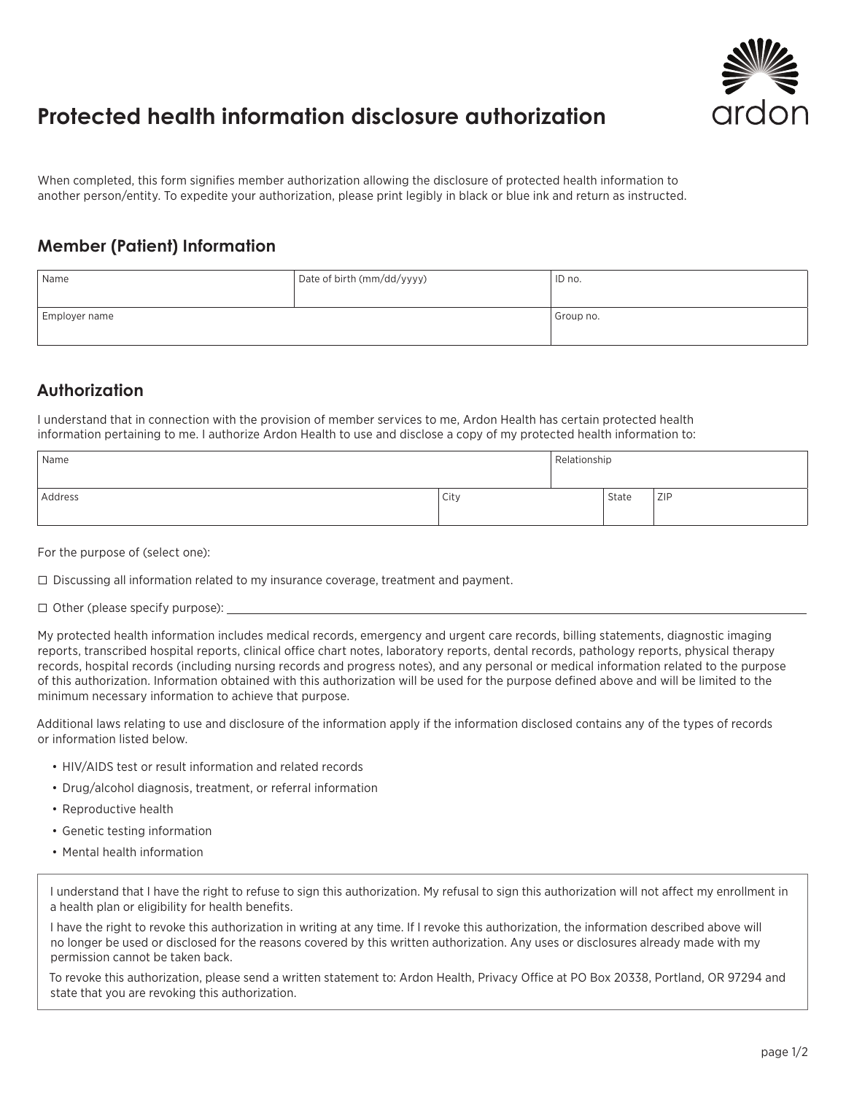

## **Protected health information disclosure authorization**

When completed, this form signifies member authorization allowing the disclosure of protected health information to another person/entity. To expedite your authorization, please print legibly in black or blue ink and return as instructed.

## **Member (Patient) Information**

| Name          | Date of birth (mm/dd/yyyy) | ID no.    |
|---------------|----------------------------|-----------|
| Employer name |                            | Group no. |

## **Authorization**

I understand that in connection with the provision of member services to me, Ardon Health has certain protected health information pertaining to me. I authorize Ardon Health to use and disclose a copy of my protected health information to:

| Name    |      | Relationship |       |     |
|---------|------|--------------|-------|-----|
| Address | City |              | State | ZIP |

For the purpose of (select one):

 $\Box$  Discussing all information related to my insurance coverage, treatment and payment.

 $\Box$  Other (please specify purpose):

My protected health information includes medical records, emergency and urgent care records, billing statements, diagnostic imaging reports, transcribed hospital reports, clinical office chart notes, laboratory reports, dental records, pathology reports, physical therapy records, hospital records (including nursing records and progress notes), and any personal or medical information related to the purpose of this authorization. Information obtained with this authorization will be used for the purpose defined above and will be limited to the minimum necessary information to achieve that purpose.

Additional laws relating to use and disclosure of the information apply if the information disclosed contains any of the types of records or information listed below.

- HIV/AIDS test or result information and related records
- Drug/alcohol diagnosis, treatment, or referral information
- Reproductive health
- Genetic testing information
- Mental health information

I understand that I have the right to refuse to sign this authorization. My refusal to sign this authorization will not affect my enrollment in a health plan or eligibility for health benefits.

I have the right to revoke this authorization in writing at any time. If I revoke this authorization, the information described above will no longer be used or disclosed for the reasons covered by this written authorization. Any uses or disclosures already made with my permission cannot be taken back.

To revoke this authorization, please send a written statement to: Ardon Health, Privacy Office at PO Box 20338, Portland, OR 97294 and state that you are revoking this authorization.